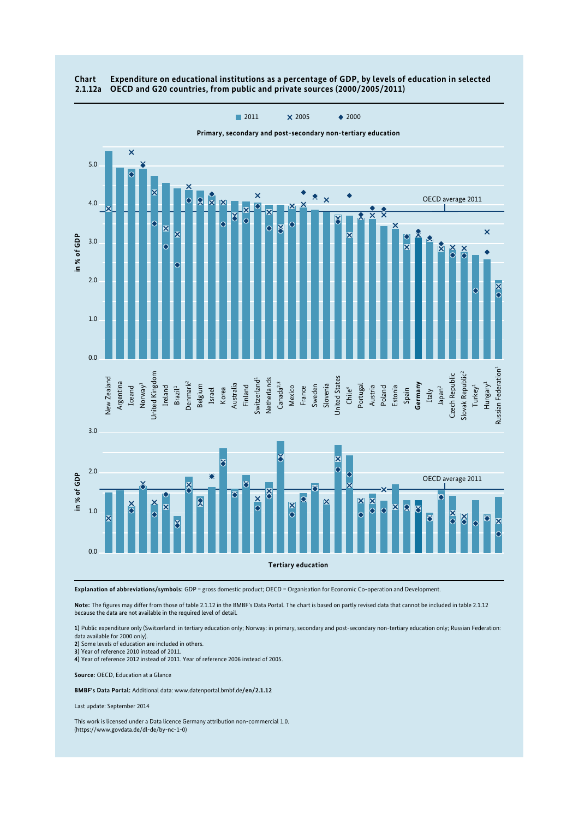

## **Chart Expenditure on educational institutions as a percentage of GDP, by levels of education in selected 2.1.12a OECD and G20 countries, from public and private sources (2000/2005/2011)**

**Explanation of abbreviations/symbols:** GDP = gross domestic product; OECD = Organisation for Economic Co-operation and Development.

**Note:** The figures may differ from those of table 2.1.12 in the BMBF's Data Portal. The chart is based on partly revised data that cannot be included in table 2.1.12 because the data are not available in the required level of detail.

**1)** Public expenditure only (Switzerland: in tertiary education only; Norway: in primary, secondary and post-secondary non-tertiary education only; Russian Federation: data available for 2000 only).

**2)** Some levels of education are included in others.

**3)** Year of reference 2010 instead of 2011.

**4)** Year of reference 2012 instead of 2011. Year of reference 2006 instead of 2005.

**Source:** OECD, Education at a Glance

**BMBF's Data Portal:** Additional data: www.datenportal.bmbf.de**/en/2.1.12**

Last update: September 2014

This work is licensed under a Data licence Germany attribution non-commercial 1.0. (https://www.govdata.de/dl-de/by-nc-1-0)